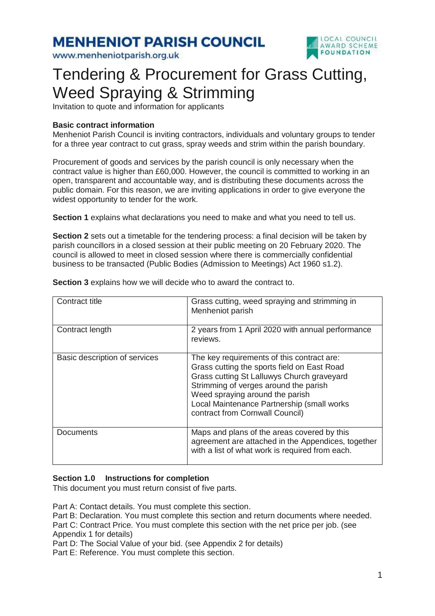**MENHENIOT PARISH COUNCIL** 

www.menheniotparish.org.uk



# Tendering & Procurement for Grass Cutting, Weed Spraying & Strimming

Invitation to quote and information for applicants

#### **Basic contract information**

Menheniot Parish Council is inviting contractors, individuals and voluntary groups to tender for a three year contract to cut grass, spray weeds and strim within the parish boundary.

Procurement of goods and services by the parish council is only necessary when the contract value is higher than £60,000. However, the council is committed to working in an open, transparent and accountable way, and is distributing these documents across the public domain. For this reason, we are inviting applications in order to give everyone the widest opportunity to tender for the work.

**Section 1** explains what declarations you need to make and what you need to tell us.

**Section 2** sets out a timetable for the tendering process: a final decision will be taken by parish councillors in a closed session at their public meeting on 20 February 2020. The council is allowed to meet in closed session where there is commercially confidential business to be transacted (Public Bodies (Admission to Meetings) Act 1960 s1.2).

| Contract title                | Grass cutting, weed spraying and strimming in<br>Menheniot parish                                                                                                                                                                                                                                    |
|-------------------------------|------------------------------------------------------------------------------------------------------------------------------------------------------------------------------------------------------------------------------------------------------------------------------------------------------|
| Contract length               | 2 years from 1 April 2020 with annual performance<br>reviews.                                                                                                                                                                                                                                        |
| Basic description of services | The key requirements of this contract are:<br>Grass cutting the sports field on East Road<br>Grass cutting St Lalluwys Church graveyard<br>Strimming of verges around the parish<br>Weed spraying around the parish<br>Local Maintenance Partnership (small works<br>contract from Cornwall Council) |
| Documents                     | Maps and plans of the areas covered by this<br>agreement are attached in the Appendices, together<br>with a list of what work is required from each.                                                                                                                                                 |

**Section 3** explains how we will decide who to award the contract to.

#### **Section 1.0 Instructions for completion**

This document you must return consist of five parts.

Part A: Contact details. You must complete this section. Part B: Declaration. You must complete this section and return documents where needed. Part C: Contract Price. You must complete this section with the net price per job. (see

Appendix 1 for details)

Part D: The Social Value of your bid. (see Appendix 2 for details)

Part E: Reference. You must complete this section.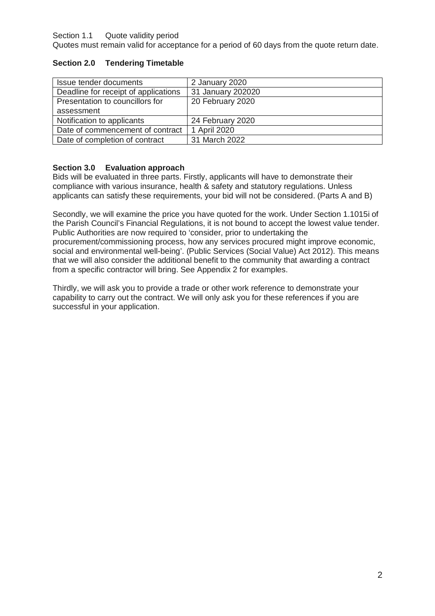#### Section 1.1 Quote validity period

Quotes must remain valid for acceptance for a period of 60 days from the quote return date.

#### **Section 2.0 Tendering Timetable**

| Issue tender documents               | 2 January 2020    |
|--------------------------------------|-------------------|
|                                      |                   |
| Deadline for receipt of applications | 31 January 202020 |
| Presentation to councillors for      | 20 February 2020  |
| assessment                           |                   |
| Notification to applicants           | 24 February 2020  |
| Date of commencement of contract     | 1 April 2020      |
| Date of completion of contract       | 31 March 2022     |

#### **Section 3.0 Evaluation approach**

Bids will be evaluated in three parts. Firstly, applicants will have to demonstrate their compliance with various insurance, health & safety and statutory regulations. Unless applicants can satisfy these requirements, your bid will not be considered. (Parts A and B)

Secondly, we will examine the price you have quoted for the work. Under Section 1.1015i of the Parish Council's Financial Regulations, it is not bound to accept the lowest value tender. Public Authorities are now required to 'consider, prior to undertaking the procurement/commissioning process, how any services procured might improve economic, social and environmental well-being'. (Public Services (Social Value) Act 2012). This means that we will also consider the additional benefit to the community that awarding a contract from a specific contractor will bring. See Appendix 2 for examples.

Thirdly, we will ask you to provide a trade or other work reference to demonstrate your capability to carry out the contract. We will only ask you for these references if you are successful in your application.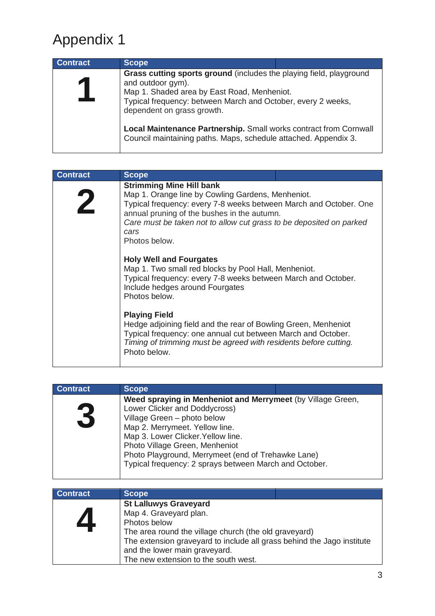# Appendix 1

| <b>Contract</b> | <b>Scope</b>                                                                                                                                                                                                                          |  |
|-----------------|---------------------------------------------------------------------------------------------------------------------------------------------------------------------------------------------------------------------------------------|--|
|                 | Grass cutting sports ground (includes the playing field, playground<br>and outdoor gym).<br>Map 1. Shaded area by East Road, Menheniot.<br>Typical frequency: between March and October, every 2 weeks,<br>dependent on grass growth. |  |
|                 | Local Maintenance Partnership. Small works contract from Cornwall<br>Council maintaining paths. Maps, schedule attached. Appendix 3.                                                                                                  |  |

| <b>Contract</b> | <b>Scope</b>                                                                                                                                                                                                                                                                                             |  |
|-----------------|----------------------------------------------------------------------------------------------------------------------------------------------------------------------------------------------------------------------------------------------------------------------------------------------------------|--|
|                 | <b>Strimming Mine Hill bank</b><br>Map 1. Orange line by Cowling Gardens, Menheniot.<br>Typical frequency: every 7-8 weeks between March and October. One<br>annual pruning of the bushes in the autumn.<br>Care must be taken not to allow cut grass to be deposited on parked<br>cars<br>Photos below. |  |
|                 | <b>Holy Well and Fourgates</b><br>Map 1. Two small red blocks by Pool Hall, Menheniot.<br>Typical frequency: every 7-8 weeks between March and October.<br>Include hedges around Fourgates<br>Photos below.                                                                                              |  |
|                 | <b>Playing Field</b><br>Hedge adjoining field and the rear of Bowling Green, Menheniot<br>Typical frequency: one annual cut between March and October.<br>Timing of trimming must be agreed with residents before cutting.<br>Photo below.                                                               |  |

| <b>Contract</b> | <b>Scope</b>                                                                                                                                                                                                                                                                                                                                          |
|-----------------|-------------------------------------------------------------------------------------------------------------------------------------------------------------------------------------------------------------------------------------------------------------------------------------------------------------------------------------------------------|
|                 | Weed spraying in Menheniot and Merrymeet (by Village Green,<br>Lower Clicker and Doddycross)<br>Village Green - photo below<br>Map 2. Merrymeet. Yellow line.<br>Map 3. Lower Clicker. Yellow line.<br>Photo Village Green, Menheniot<br>Photo Playground, Merrymeet (end of Trehawke Lane)<br>Typical frequency: 2 sprays between March and October. |
|                 |                                                                                                                                                                                                                                                                                                                                                       |

| <b>Contract</b> | <b>Scope</b>                                                           |
|-----------------|------------------------------------------------------------------------|
|                 | <b>St Lalluwys Graveyard</b>                                           |
|                 | Map 4. Graveyard plan.                                                 |
|                 | Photos below                                                           |
|                 | The area round the village church (the old graveyard)                  |
|                 | The extension graveyard to include all grass behind the Jago institute |
|                 | and the lower main graveyard.                                          |
|                 | The new extension to the south west.                                   |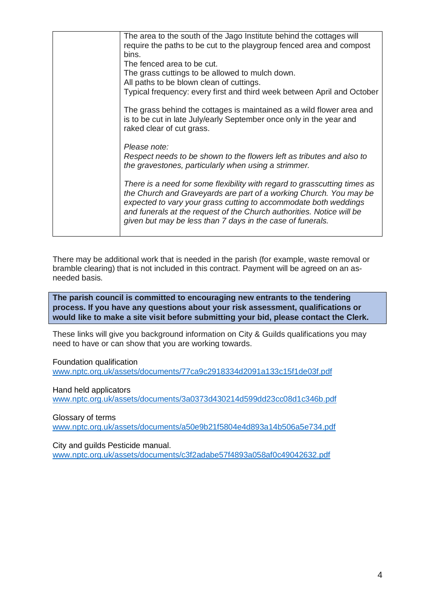| The area to the south of the Jago Institute behind the cottages will                                                                                                      |
|---------------------------------------------------------------------------------------------------------------------------------------------------------------------------|
| require the paths to be cut to the playgroup fenced area and compost                                                                                                      |
| bins.                                                                                                                                                                     |
| The fenced area to be cut.                                                                                                                                                |
| The grass cuttings to be allowed to mulch down.                                                                                                                           |
| All paths to be blown clean of cuttings.                                                                                                                                  |
| Typical frequency: every first and third week between April and October                                                                                                   |
| The grass behind the cottages is maintained as a wild flower area and<br>is to be cut in late July/early September once only in the year and<br>raked clear of cut grass. |
| Please note:                                                                                                                                                              |
| Respect needs to be shown to the flowers left as tributes and also to                                                                                                     |
| the gravestones, particularly when using a strimmer.                                                                                                                      |
|                                                                                                                                                                           |
| There is a need for some flexibility with regard to grasscutting times as                                                                                                 |
| the Church and Graveyards are part of a working Church. You may be                                                                                                        |
| expected to vary your grass cutting to accommodate both weddings<br>and funerals at the request of the Church authorities. Notice will be                                 |
| given but may be less than 7 days in the case of funerals.                                                                                                                |
|                                                                                                                                                                           |
|                                                                                                                                                                           |

There may be additional work that is needed in the parish (for example, waste removal or bramble clearing) that is not included in this contract. Payment will be agreed on an asneeded basis.

**The parish council is committed to encouraging new entrants to the tendering process. If you have any questions about your risk assessment, qualifications or would like to make a site visit before submitting your bid, please contact the Clerk.** 

These links will give you background information on City & Guilds qualifications you may need to have or can show that you are working towards.

Foundation qualification

www.nptc.org.uk/assets/documents/77ca9c2918334d2091a133c15f1de03f.pdf

Hand held applicators

www.nptc.org.uk/assets/documents/3a0373d430214d599dd23cc08d1c346b.pdf

Glossary of terms

www.nptc.org.uk/assets/documents/a50e9b21f5804e4d893a14b506a5e734.pdf

City and guilds Pesticide manual.

www.nptc.org.uk/assets/documents/c3f2adabe57f4893a058af0c49042632.pdf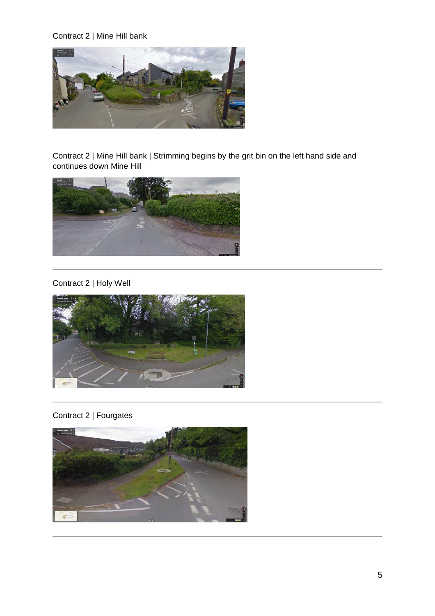### Contract 2 | Mine Hill bank



Contract 2 | Mine Hill bank | Strimming begins by the grit bin on the left hand side and continues down Mine Hill



#### Contract 2 | Holy Well



# Contract 2 | Fourgates

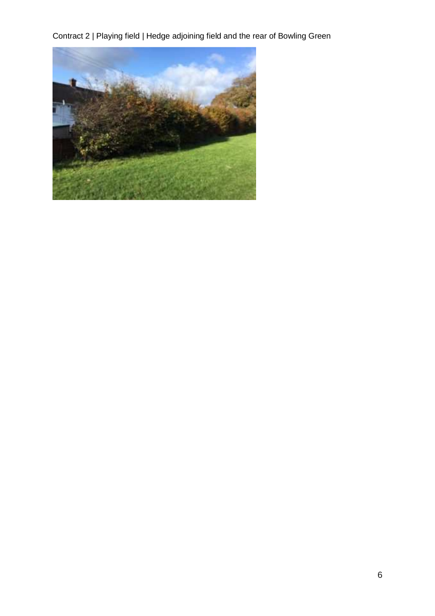Contract 2 | Playing field | Hedge adjoining field and the rear of Bowling Green

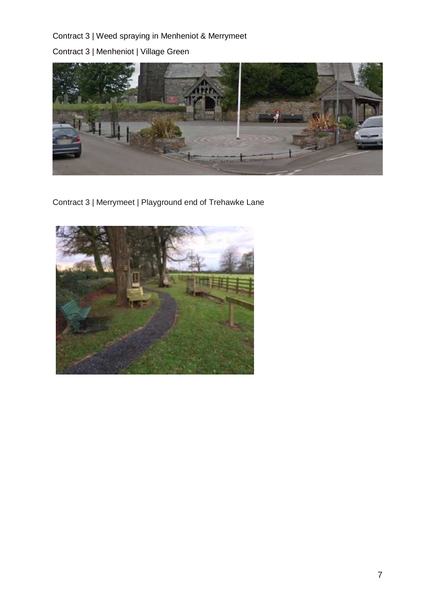### Contract 3 | Weed spraying in Menheniot & Merrymeet

Contract 3 | Menheniot | Village Green



Contract 3 | Merrymeet | Playground end of Trehawke Lane

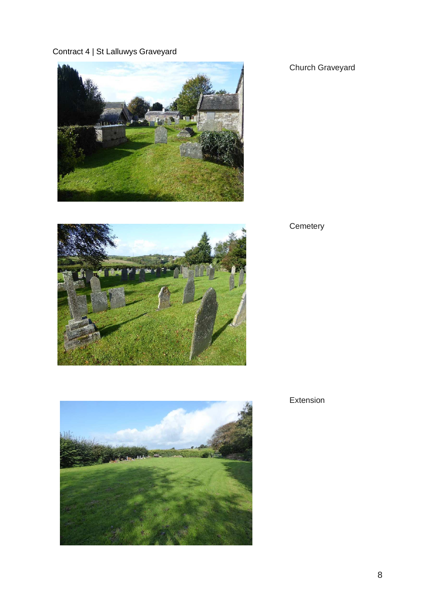# Contract 4 | St Lalluwys Graveyard





# Church Graveyard

# **Cemetery**



Extension